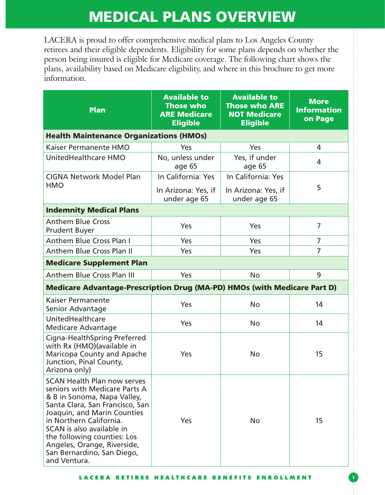LACERA is proud to offer comprehensive medical plans to Los Angeles County retirees and their eligible dependents. Eligibility for some plans depends on whether the person being insured is eligible for Medicare coverage. The following chart shows the plans, availability based on Medicare eligibility, and where in this brochure to get more information.

| <b>Plan</b>                                                                                                                                                                                                                                                                                                                              | <b>Available to</b><br><b>Those who</b><br><b>ARE Medicare</b><br><b>Eligible</b> | <b>Available to</b><br><b>Those who ARE</b><br><b>NOT Medicare</b><br><b>Eligible</b> | <b>More</b><br><b>Information</b><br>on Page |  |  |
|------------------------------------------------------------------------------------------------------------------------------------------------------------------------------------------------------------------------------------------------------------------------------------------------------------------------------------------|-----------------------------------------------------------------------------------|---------------------------------------------------------------------------------------|----------------------------------------------|--|--|
| <b>Health Maintenance Organizations (HMOs)</b>                                                                                                                                                                                                                                                                                           |                                                                                   |                                                                                       |                                              |  |  |
| Kaiser Permanente HMO                                                                                                                                                                                                                                                                                                                    | Yes                                                                               | Yes                                                                                   | 4                                            |  |  |
| UnitedHealthcare HMO                                                                                                                                                                                                                                                                                                                     | No, unless under<br>age 65                                                        | Yes, if under<br>age 65                                                               | 4                                            |  |  |
| <b>CIGNA Network Model Plan</b>                                                                                                                                                                                                                                                                                                          | In California: Yes                                                                | In California: Yes                                                                    |                                              |  |  |
| <b>HMO</b>                                                                                                                                                                                                                                                                                                                               | In Arizona: Yes, if<br>under age 65                                               | In Arizona: Yes, if<br>under age 65                                                   | 5                                            |  |  |
| <b>Indemnity Medical Plans</b>                                                                                                                                                                                                                                                                                                           |                                                                                   |                                                                                       |                                              |  |  |
| <b>Anthem Blue Cross</b><br><b>Prudent Buyer</b>                                                                                                                                                                                                                                                                                         | Yes                                                                               | Yes                                                                                   | $\overline{7}$                               |  |  |
| Anthem Blue Cross Plan I                                                                                                                                                                                                                                                                                                                 | Yes                                                                               | Yes                                                                                   | $\overline{7}$                               |  |  |
| <b>Anthem Blue Cross Plan II</b>                                                                                                                                                                                                                                                                                                         | Yes                                                                               | Yes                                                                                   | $\overline{7}$                               |  |  |
| <b>Medicare Supplement Plan</b>                                                                                                                                                                                                                                                                                                          |                                                                                   |                                                                                       |                                              |  |  |
| <b>Anthem Blue Cross Plan III</b>                                                                                                                                                                                                                                                                                                        | Yes                                                                               | <b>No</b>                                                                             | 9                                            |  |  |
| <b>Medicare Advantage-Prescription Drug (MA-PD) HMOs (with Medicare Part D)</b>                                                                                                                                                                                                                                                          |                                                                                   |                                                                                       |                                              |  |  |
| <b>Kaiser Permanente</b><br>Senior Advantage                                                                                                                                                                                                                                                                                             | Yes                                                                               | <b>No</b>                                                                             | 14                                           |  |  |
| UnitedHealthcare<br><b>Medicare Advantage</b>                                                                                                                                                                                                                                                                                            | Yes                                                                               | <b>No</b>                                                                             | 14                                           |  |  |
| Cigna-HealthSpring Preferred<br>with Rx (HMO) (available in<br>Maricopa County and Apache<br>Junction, Pinal County,<br>Arizona only)                                                                                                                                                                                                    | Yes                                                                               | No                                                                                    | 15                                           |  |  |
| <b>SCAN Health Plan now serves</b><br>seniors with Medicare Parts A<br>& B in Sonoma, Napa Valley,<br>Santa Clara, San Francisco, San<br>Joaquin, and Marin Counties<br>in Northern California.<br>SCAN is also available in<br>the following counties: Los<br>Angeles, Orange, Riverside,<br>San Bernardino, San Diego,<br>and Ventura. | Yes                                                                               | <b>No</b>                                                                             | 15                                           |  |  |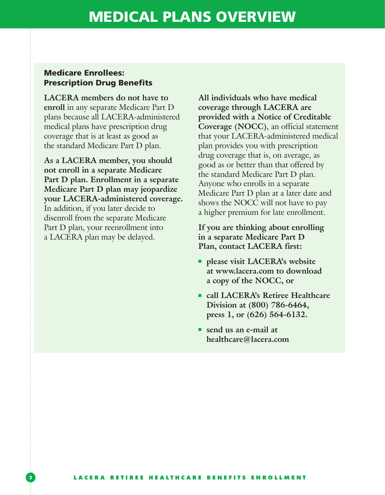### Medicare Enrollees: Prescription Drug Benefits

**LACERA members do not have to enroll** in any separate Medicare Part D plans because all LACERA-administered medical plans have prescription drug coverage that is at least as good as the standard Medicare Part D plan.

**As a LACERA member, you should not enroll in a separate Medicare Part D plan. Enrollment in a separate Medicare Part D plan may jeopardize your LACERA-administered coverage.** In addition, if you later decide to disenroll from the separate Medicare Part D plan, your reenrollment into a LACERA plan may be delayed.

**All individuals who have medical coverage through LACERA are provided with a Notice of Creditable Coverage (NOCC)**, an official statement that your LACERA-administered medical plan provides you with prescription drug coverage that is, on average, as good as or better than that offered by the standard Medicare Part D plan. Anyone who enrolls in a separate Medicare Part D plan at a later date and shows the NOCC will not have to pay a higher premium for late enrollment.

**If you are thinking about enrolling in a separate Medicare Part D Plan, contact LACERA first:**

- **please visit LACERA's website at www.lacera.com to download a copy of the NOCC, or**
- **call LACERA's Retiree Healthcare Division at (800) 786-6464, press 1, or (626) 564-6132.**
- send us an e-mail at **healthcare@lacera.com**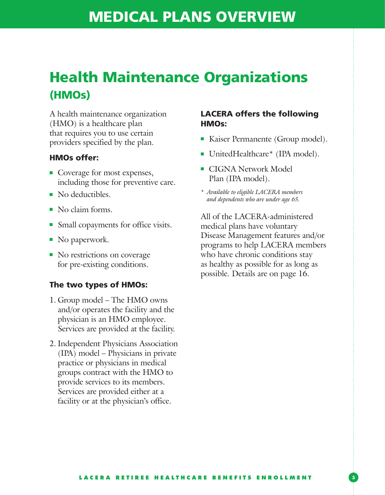## Health Maintenance Organizations (HMOs)

A health maintenance organization (HMO) is a healthcare plan that requires you to use certain providers specified by the plan.

#### HMOs offer:

- Coverage for most expenses, including those for preventive care.
- No deductibles.
- No claim forms.
- Small copayments for office visits.
- No paperwork.
- No restrictions on coverage for pre-existing conditions.

#### The two types of HMOs:

- 1. Group model The HMO owns and/or operates the facility and the physician is an HMO employee. Services are provided at the facility.
- 2. Independent Physicians Association (IPA) model – Physicians in private practice or physicians in medical groups contract with the HMO to provide services to its members. Services are provided either at a facility or at the physician's office.

#### LACERA offers the following HMOs:

- Kaiser Permanente (Group model).
- UnitedHealthcare<sup>\*</sup> (IPA model).
- CIGNA Network Model Plan (IPA model).
- *\* Available to eligible LACERA members and dependents who are under age 65.*

All of the LACERA-administered medical plans have voluntary Disease Management features and/or programs to help LACERA members who have chronic conditions stay as healthy as possible for as long as possible. Details are on page 16.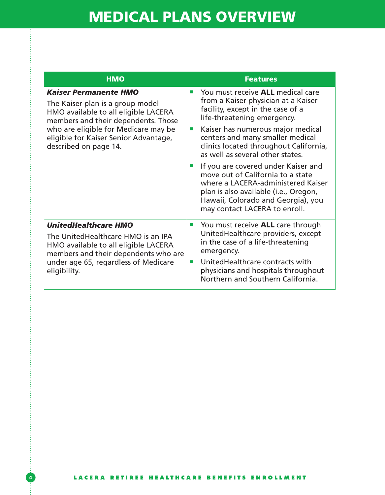| <b>HMO</b>                                                                                                                                                                                                                                                | <b>Features</b>                                                                                                                                                                                                                                                                                                                                                                                                                                                                                                                                                                                             |
|-----------------------------------------------------------------------------------------------------------------------------------------------------------------------------------------------------------------------------------------------------------|-------------------------------------------------------------------------------------------------------------------------------------------------------------------------------------------------------------------------------------------------------------------------------------------------------------------------------------------------------------------------------------------------------------------------------------------------------------------------------------------------------------------------------------------------------------------------------------------------------------|
| <b>Kaiser Permanente HMO</b><br>The Kaiser plan is a group model<br>HMO available to all eligible LACERA<br>members and their dependents. Those<br>who are eligible for Medicare may be<br>eligible for Kaiser Senior Advantage,<br>described on page 14. | You must receive <b>ALL</b> medical care<br><b>COL</b><br>from a Kaiser physician at a Kaiser<br>facility, except in the case of a<br>life-threatening emergency.<br>Kaiser has numerous major medical<br>$\mathcal{L}_{\mathcal{A}}$<br>centers and many smaller medical<br>clinics located throughout California,<br>as well as several other states.<br>If you are covered under Kaiser and<br><b>College</b><br>move out of California to a state<br>where a LACERA-administered Kaiser<br>plan is also available (i.e., Oregon,<br>Hawaii, Colorado and Georgia), you<br>may contact LACERA to enroll. |
| <b>UnitedHealthcare HMO</b><br>The UnitedHealthcare HMO is an IPA<br>HMO available to all eligible LACERA<br>members and their dependents who are<br>under age 65, regardless of Medicare<br>eligibility.                                                 | You must receive <b>ALL</b> care through<br>ш<br>United Healthcare providers, except<br>in the case of a life-threatening<br>emergency.<br>UnitedHealthcare contracts with<br><b>COL</b><br>physicians and hospitals throughout<br>Northern and Southern California.                                                                                                                                                                                                                                                                                                                                        |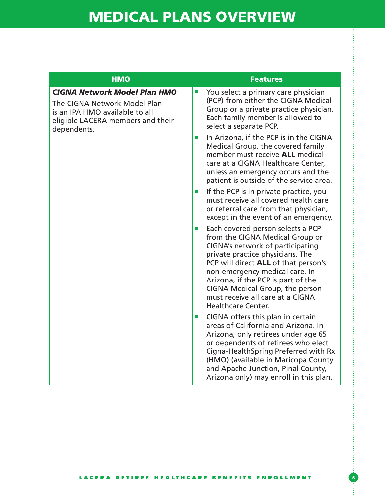| <b>HMO</b>                                                                                                                                                | <b>Features</b>                                                                                                                                                                                                                                                                                                                                                                                 |
|-----------------------------------------------------------------------------------------------------------------------------------------------------------|-------------------------------------------------------------------------------------------------------------------------------------------------------------------------------------------------------------------------------------------------------------------------------------------------------------------------------------------------------------------------------------------------|
| <b>CIGNA Network Model Plan HMO</b><br>The CIGNA Network Model Plan<br>is an IPA HMO available to all<br>eligible LACERA members and their<br>dependents. | You select a primary care physician<br>$\mathcal{L}_{\mathcal{A}}$<br>(PCP) from either the CIGNA Medical<br>Group or a private practice physician.<br>Each family member is allowed to<br>select a separate PCP.                                                                                                                                                                               |
|                                                                                                                                                           | In Arizona, if the PCP is in the CIGNA<br>$\mathcal{L}_{\mathcal{A}}$<br>Medical Group, the covered family<br>member must receive <b>ALL</b> medical<br>care at a CIGNA Healthcare Center,<br>unless an emergency occurs and the<br>patient is outside of the service area.                                                                                                                     |
|                                                                                                                                                           | If the PCP is in private practice, you<br>$\mathcal{L}_{\mathcal{A}}$<br>must receive all covered health care<br>or referral care from that physician,<br>except in the event of an emergency.                                                                                                                                                                                                  |
|                                                                                                                                                           | Each covered person selects a PCP<br>$\mathcal{L}_{\mathcal{A}}$<br>from the CIGNA Medical Group or<br>CIGNA's network of participating<br>private practice physicians. The<br>PCP will direct ALL of that person's<br>non-emergency medical care. In<br>Arizona, if the PCP is part of the<br>CIGNA Medical Group, the person<br>must receive all care at a CIGNA<br><b>Healthcare Center.</b> |
|                                                                                                                                                           | CIGNA offers this plan in certain<br>$\mathcal{L}_{\mathcal{A}}$<br>areas of California and Arizona. In<br>Arizona, only retirees under age 65<br>or dependents of retirees who elect<br>Cigna-HealthSpring Preferred with Rx<br>(HMO) (available in Maricopa County<br>and Apache Junction, Pinal County,<br>Arizona only) may enroll in this plan.                                            |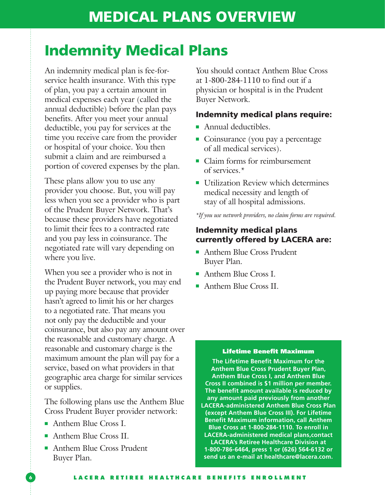### Indemnity Medical Plans

An indemnity medical plan is fee-forservice health insurance. With this type of plan, you pay a certain amount in medical expenses each year (called the annual deductible) before the plan pays benefits. After you meet your annual deductible, you pay for services at the time you receive care from the provider or hospital of your choice. You then submit a claim and are reimbursed a portion of covered expenses by the plan.

These plans allow you to use any provider you choose. But, you will pay less when you see a provider who is part of the Prudent Buyer Network. That's because these providers have negotiated to limit their fees to a contracted rate and you pay less in coinsurance. The negotiated rate will vary depending on where you live.

When you see a provider who is not in the Prudent Buyer network, you may end up paying more because that provider hasn't agreed to limit his or her charges to a negotiated rate. That means you not only pay the deductible and your coinsurance, but also pay any amount over the reasonable and customary charge. A reasonable and customary charge is the maximum amount the plan will pay for a service, based on what providers in that geographic area charge for similar services or supplies.

The following plans use the Anthem Blue Cross Prudent Buyer provider network:

- Anthem Blue Cross I.
- Anthem Blue Cross II.
- Anthem Blue Cross Prudent Buyer Plan.

You should contact Anthem Blue Cross at 1-800-284-1110 to find out if a physician or hospital is in the Prudent Buyer Network.

### Indemnity medical plans require:

- Annual deductibles.
- Coinsurance (you pay a percentage of all medical services).
- Claim forms for reimbursement of services.\*
- Utilization Review which determines medical necessity and length of stay of all hospital admissions.

*\*If you use network providers, no claim forms are required.* 

### Indemnity medical plans currently offered by LACERA are:

- Anthem Blue Cross Prudent Buyer Plan.
- Anthem Blue Cross I.
- Anthem Blue Cross II.

#### Lifetime Benefit Maximum

**The Lifetime Benefit Maximum for the Anthem Blue Cross Prudent Buyer Plan, Anthem Blue Cross I, and Anthem Blue Cross II combined is \$1 million per member. The benefit amount available is reduced by any amount paid previously from another LACERA-administered Anthem Blue Cross Plan (except Anthem Blue Cross III). For Lifetime Benefit Maximum information, call Anthem Blue Cross at 1-800-284-1110. To enroll in LACERA-administered medical plans,contact LACERA's Retiree Healthcare Division at 1-800-786-6464, press 1 or (626) 564-6132 or send us an e-mail at healthcare@lacera.com.**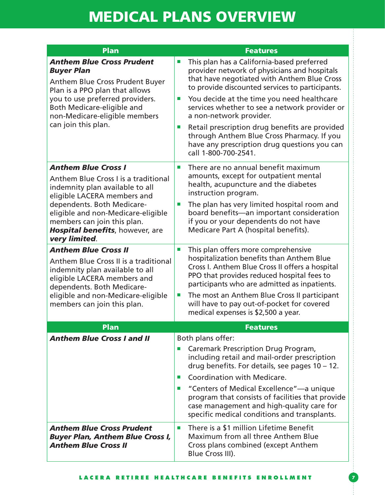| <b>Plan</b>                                                                                                                                                                                                                                                                                 | <b>Features</b>                                                                                                                                                                                                                                                                                                                                                                                                                                                                                                                                                 |
|---------------------------------------------------------------------------------------------------------------------------------------------------------------------------------------------------------------------------------------------------------------------------------------------|-----------------------------------------------------------------------------------------------------------------------------------------------------------------------------------------------------------------------------------------------------------------------------------------------------------------------------------------------------------------------------------------------------------------------------------------------------------------------------------------------------------------------------------------------------------------|
| <b>Anthem Blue Cross Prudent</b><br><b>Buyer Plan</b><br><b>Anthem Blue Cross Prudent Buyer</b><br>Plan is a PPO plan that allows<br>you to use preferred providers.<br>Both Medicare-eligible and<br>non-Medicare-eligible members<br>can join this plan.                                  | This plan has a California-based preferred<br>$\mathcal{C}$<br>provider network of physicians and hospitals<br>that have negotiated with Anthem Blue Cross<br>to provide discounted services to participants.<br>You decide at the time you need healthcare<br>$\mathcal{L}_{\mathcal{A}}$<br>services whether to see a network provider or<br>a non-network provider.<br>Retail prescription drug benefits are provided<br>$\mathcal{C}$<br>through Anthem Blue Cross Pharmacy. If you<br>have any prescription drug questions you can<br>call 1-800-700-2541. |
| <b>Anthem Blue Cross I</b><br>Anthem Blue Cross I is a traditional<br>indemnity plan available to all<br>eligible LACERA members and<br>dependents. Both Medicare-<br>eligible and non-Medicare-eligible<br>members can join this plan.<br>Hospital benefits, however, are<br>very limited. | There are no annual benefit maximum<br>п<br>amounts, except for outpatient mental<br>health, acupuncture and the diabetes<br>instruction program.<br>The plan has very limited hospital room and<br>$\mathcal{L}_{\mathcal{A}}$<br>board benefits-an important consideration<br>if you or your dependents do not have<br>Medicare Part A (hospital benefits).                                                                                                                                                                                                   |
| <b>Anthem Blue Cross II</b><br>Anthem Blue Cross II is a traditional<br>indemnity plan available to all<br>eligible LACERA members and<br>dependents. Both Medicare-<br>eligible and non-Medicare-eligible<br>members can join this plan.                                                   | This plan offers more comprehensive<br>×.<br>hospitalization benefits than Anthem Blue<br>Cross I. Anthem Blue Cross II offers a hospital<br>PPO that provides reduced hospital fees to<br>participants who are admitted as inpatients.<br>The most an Anthem Blue Cross II participant<br>will have to pay out-of-pocket for covered<br>medical expenses is \$2,500 a year.                                                                                                                                                                                    |
| <b>Plan</b>                                                                                                                                                                                                                                                                                 | <b>Features</b>                                                                                                                                                                                                                                                                                                                                                                                                                                                                                                                                                 |
| <b>Anthem Blue Cross I and II</b>                                                                                                                                                                                                                                                           | Both plans offer:<br><b>Caremark Prescription Drug Program,</b><br>including retail and mail-order prescription<br>drug benefits. For details, see pages $10 - 12$ .<br>Coordination with Medicare.<br>п<br>"Centers of Medical Excellence"—a unique<br>program that consists of facilities that provide<br>case management and high-quality care for<br>specific medical conditions and transplants.                                                                                                                                                           |
| <b>Anthem Blue Cross Prudent</b><br><b>Buyer Plan, Anthem Blue Cross I,</b><br><b>Anthem Blue Cross II</b>                                                                                                                                                                                  | There is a \$1 million Lifetime Benefit<br>П<br><b>Maximum from all three Anthem Blue</b><br>Cross plans combined (except Anthem<br>Blue Cross III).                                                                                                                                                                                                                                                                                                                                                                                                            |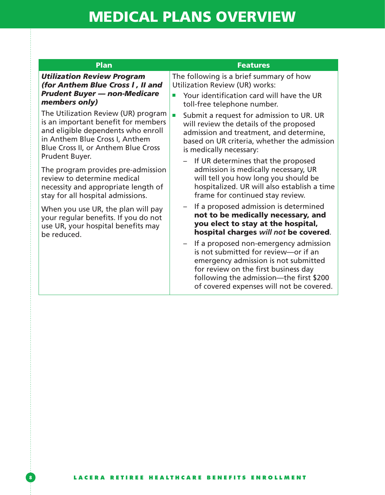| <b>Plan</b>                                                                                                                                                                               | <b>Features</b>                                                                                                                                                                                                                                      |
|-------------------------------------------------------------------------------------------------------------------------------------------------------------------------------------------|------------------------------------------------------------------------------------------------------------------------------------------------------------------------------------------------------------------------------------------------------|
| <b>Utilization Review Program</b>                                                                                                                                                         | The following is a brief summary of how                                                                                                                                                                                                              |
| (for Anthem Blue Cross I, II and                                                                                                                                                          | Utilization Review (UR) works:                                                                                                                                                                                                                       |
| <b>Prudent Buyer - non-Medicare</b>                                                                                                                                                       | Your identification card will have the UR                                                                                                                                                                                                            |
| members only)                                                                                                                                                                             | toll-free telephone number.                                                                                                                                                                                                                          |
| The Utilization Review (UR) program<br>is an important benefit for members<br>and eligible dependents who enroll<br>in Anthem Blue Cross I, Anthem<br>Blue Cross II, or Anthem Blue Cross | Submit a request for admission to UR. UR<br>п<br>will review the details of the proposed<br>admission and treatment, and determine,<br>based on UR criteria, whether the admission<br>is medically necessary:                                        |
| Prudent Buyer.                                                                                                                                                                            | If UR determines that the proposed                                                                                                                                                                                                                   |
| The program provides pre-admission                                                                                                                                                        | admission is medically necessary, UR                                                                                                                                                                                                                 |
| review to determine medical                                                                                                                                                               | will tell you how long you should be                                                                                                                                                                                                                 |
| necessity and appropriate length of                                                                                                                                                       | hospitalized. UR will also establish a time                                                                                                                                                                                                          |
| stay for all hospital admissions.                                                                                                                                                         | frame for continued stay review.                                                                                                                                                                                                                     |
| When you use UR, the plan will pay                                                                                                                                                        | If a proposed admission is determined                                                                                                                                                                                                                |
| your regular benefits. If you do not                                                                                                                                                      | not to be medically necessary, and                                                                                                                                                                                                                   |
| use UR, your hospital benefits may                                                                                                                                                        | you elect to stay at the hospital,                                                                                                                                                                                                                   |
| be reduced.                                                                                                                                                                               | hospital charges will not be covered.                                                                                                                                                                                                                |
|                                                                                                                                                                                           | If a proposed non-emergency admission<br>is not submitted for review-or if an<br>emergency admission is not submitted<br>for review on the first business day<br>following the admission—the first \$200<br>of covered expenses will not be covered. |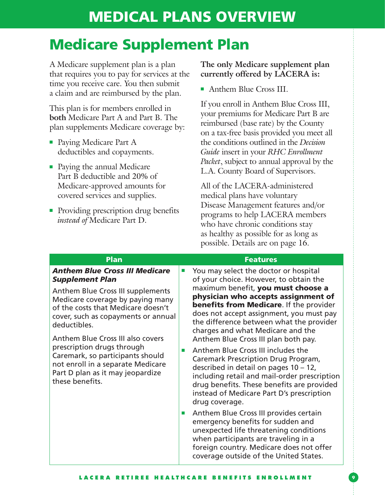### Medicare Supplement Plan

A Medicare supplement plan is a plan that requires you to pay for services at the time you receive care. You then submit a claim and are reimbursed by the plan.

This plan is for members enrolled in **both** Medicare Part A and Part B. The plan supplements Medicare coverage by:

- Paying Medicare Part A deductibles and copayments.
- Paying the annual Medicare Part B deductible and 20% of Medicare-approved amounts for covered services and supplies.
- Providing prescription drug benefits *instead of* Medicare Part D.

### **The only Medicare supplement plan currently offered by LACERA is:**

■ Anthem Blue Cross III.

If you enroll in Anthem Blue Cross III, your premiums for Medicare Part B are reimbursed (base rate) by the County on a tax-free basis provided you meet all the conditions outlined in the *Decision Guide* insert in your *RHC Enrollment Packet*, subject to annual approval by the L.A. County Board of Supervisors.

All of the LACERA-administered medical plans have voluntary Disease Management features and/or programs to help LACERA members who have chronic conditions stay as healthy as possible for as long as possible. Details are on page 16.

| <b>Plan</b>                                                                                                                                                                                                                                                                                                                                                                                                                                            |                             | <b>Features</b>                                                                                                                                                                                                                                                                                                                                                                     |
|--------------------------------------------------------------------------------------------------------------------------------------------------------------------------------------------------------------------------------------------------------------------------------------------------------------------------------------------------------------------------------------------------------------------------------------------------------|-----------------------------|-------------------------------------------------------------------------------------------------------------------------------------------------------------------------------------------------------------------------------------------------------------------------------------------------------------------------------------------------------------------------------------|
| <b>Anthem Blue Cross III Medicare</b><br><b>Supplement Plan</b><br><b>Anthem Blue Cross III supplements</b><br>Medicare coverage by paying many<br>of the costs that Medicare doesn't<br>cover, such as copayments or annual<br>deductibles.<br><b>Anthem Blue Cross III also covers</b><br>prescription drugs through<br>Caremark, so participants should<br>not enroll in a separate Medicare<br>Part D plan as it may jeopardize<br>these benefits. |                             | You may select the doctor or hospital<br>of your choice. However, to obtain the<br>maximum benefit, you must choose a<br>physician who accepts assignment of<br><b>benefits from Medicare.</b> If the provider<br>does not accept assignment, you must pay<br>the difference between what the provider<br>charges and what Medicare and the<br>Anthem Blue Cross III plan both pay. |
|                                                                                                                                                                                                                                                                                                                                                                                                                                                        | <b>The State</b>            | Anthem Blue Cross III includes the<br><b>Caremark Prescription Drug Program,</b><br>described in detail on pages $10 - 12$ ,<br>including retail and mail-order prescription<br>drug benefits. These benefits are provided<br>instead of Medicare Part D's prescription<br>drug coverage.                                                                                           |
|                                                                                                                                                                                                                                                                                                                                                                                                                                                        | $\mathcal{L}_{\mathcal{A}}$ | Anthem Blue Cross III provides certain<br>emergency benefits for sudden and<br>unexpected life threatening conditions<br>when participants are traveling in a<br>foreign country. Medicare does not offer<br>coverage outside of the United States.                                                                                                                                 |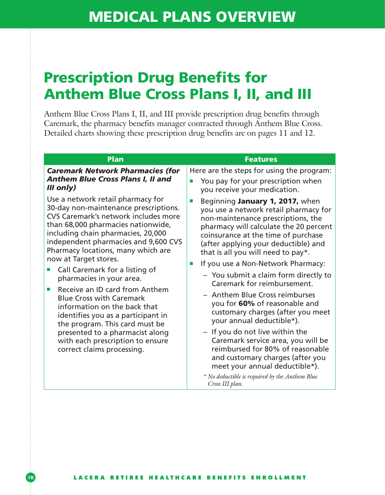### Prescription Drug Benefits for Anthem Blue Cross Plans I, II, and III

Anthem Blue Cross Plans I, II, and III provide prescription drug benefits through Caremark, the pharmacy benefits manager contracted through Anthem Blue Cross. Detailed charts showing these prescription drug benefits are on pages 11 and 12.

| Plan                                                                                                                                                                                                                                                                                                                                                                                                                                                                                                                                                                           | <b>Features</b>                                                                                                                                                                                                                                                                                                                                                                                                                                                                                                                                                                                               |
|--------------------------------------------------------------------------------------------------------------------------------------------------------------------------------------------------------------------------------------------------------------------------------------------------------------------------------------------------------------------------------------------------------------------------------------------------------------------------------------------------------------------------------------------------------------------------------|---------------------------------------------------------------------------------------------------------------------------------------------------------------------------------------------------------------------------------------------------------------------------------------------------------------------------------------------------------------------------------------------------------------------------------------------------------------------------------------------------------------------------------------------------------------------------------------------------------------|
| <b>Caremark Network Pharmacies (for</b><br><b>Anthem Blue Cross Plans I, II and</b><br>$III$ only)<br>Use a network retail pharmacy for<br>30-day non-maintenance prescriptions.<br>CVS Caremark's network includes more<br>than 68,000 pharmacies nationwide,<br>including chain pharmacies, 20,000<br>independent pharmacies and 9,600 CVS<br>Pharmacy locations, many which are<br>now at Target stores.<br>Call Caremark for a listing of<br>pharmacies in your area.<br>Receive an ID card from Anthem<br><b>Blue Cross with Caremark</b><br>information on the back that | Here are the steps for using the program:<br>You pay for your prescription when<br>п<br>you receive your medication.<br>Beginning January 1, 2017, when<br>п<br>you use a network retail pharmacy for<br>non-maintenance prescriptions, the<br>pharmacy will calculate the 20 percent<br>coinsurance at the time of purchase<br>(after applying your deductible) and<br>that is all you will need to pay*.<br>If you use a Non-Network Pharmacy:<br>$\mathbb{R}^n$<br>- You submit a claim form directly to<br>Caremark for reimbursement.<br>- Anthem Blue Cross reimburses<br>you for 60% of reasonable and |
| identifies you as a participant in<br>the program. This card must be<br>presented to a pharmacist along<br>with each prescription to ensure<br>correct claims processing.                                                                                                                                                                                                                                                                                                                                                                                                      | customary charges (after you meet<br>your annual deductible*).<br>- If you do not live within the<br>Caremark service area, you will be<br>reimbursed for 80% of reasonable<br>and customary charges (after you<br>meet your annual deductible*).<br>$*$ No deductible is required by the Anthem Blue<br>Cross III plan.                                                                                                                                                                                                                                                                                      |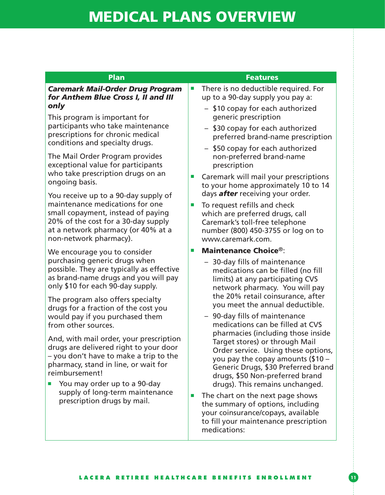| <b>Plan</b>                                                                                                                                                                                                                                              | <b>Features</b>                                                                                                                                                                                                                                               |  |
|----------------------------------------------------------------------------------------------------------------------------------------------------------------------------------------------------------------------------------------------------------|---------------------------------------------------------------------------------------------------------------------------------------------------------------------------------------------------------------------------------------------------------------|--|
| <b>Caremark Mail-Order Drug Program</b><br>for Anthem Blue Cross I, II and III                                                                                                                                                                           | There is no deductible required. For<br>$\mathcal{L}_{\mathcal{A}}$<br>up to a 90-day supply you pay a:                                                                                                                                                       |  |
| only                                                                                                                                                                                                                                                     | - \$10 copay for each authorized                                                                                                                                                                                                                              |  |
| This program is important for                                                                                                                                                                                                                            | generic prescription                                                                                                                                                                                                                                          |  |
| participants who take maintenance<br>prescriptions for chronic medical<br>conditions and specialty drugs.                                                                                                                                                | \$30 copay for each authorized<br>preferred brand-name prescription                                                                                                                                                                                           |  |
| The Mail Order Program provides<br>exceptional value for participants                                                                                                                                                                                    | - \$50 copay for each authorized<br>non-preferred brand-name<br>prescription                                                                                                                                                                                  |  |
| who take prescription drugs on an<br>ongoing basis.                                                                                                                                                                                                      | Caremark will mail your prescriptions<br>$\mathcal{L}_{\mathcal{A}}$<br>to your home approximately 10 to 14                                                                                                                                                   |  |
| You receive up to a 90-day supply of                                                                                                                                                                                                                     | days <b>after</b> receiving your order.                                                                                                                                                                                                                       |  |
| maintenance medications for one<br>small copayment, instead of paying<br>20% of the cost for a 30-day supply<br>at a network pharmacy (or 40% at a<br>non-network pharmacy).                                                                             | To request refills and check<br>$\mathcal{L}_{\mathcal{A}}$<br>which are preferred drugs, call<br>Caremark's toll-free telephone<br>number (800) 450-3755 or log on to<br>www.caremark.com.                                                                   |  |
| We encourage you to consider                                                                                                                                                                                                                             | <b>Maintenance Choice®:</b><br>$\mathcal{L}_{\mathcal{A}}$                                                                                                                                                                                                    |  |
| purchasing generic drugs when<br>possible. They are typically as effective<br>as brand-name drugs and you will pay                                                                                                                                       | - 30-day fills of maintenance<br>medications can be filled (no fill<br>limits) at any participating CVS                                                                                                                                                       |  |
| only \$10 for each 90-day supply.                                                                                                                                                                                                                        | network pharmacy. You will pay                                                                                                                                                                                                                                |  |
| The program also offers specialty                                                                                                                                                                                                                        | the 20% retail coinsurance, after<br>you meet the annual deductible.                                                                                                                                                                                          |  |
| drugs for a fraction of the cost you<br>would pay if you purchased them<br>from other sources.                                                                                                                                                           | - 90-day fills of maintenance<br>medications can be filled at CVS                                                                                                                                                                                             |  |
| And, with mail order, your prescription<br>drugs are delivered right to your door<br>- you don't have to make a trip to the<br>pharmacy, stand in line, or wait for<br>reimbursement!<br>You may order up to a 90-day<br>supply of long-term maintenance | pharmacies (including those inside<br>Target stores) or through Mail<br>Order service. Using these options,<br>you pay the copay amounts (\$10 -<br>Generic Drugs, \$30 Preferred brand<br>drugs, \$50 Non-preferred brand<br>drugs). This remains unchanged. |  |

medications: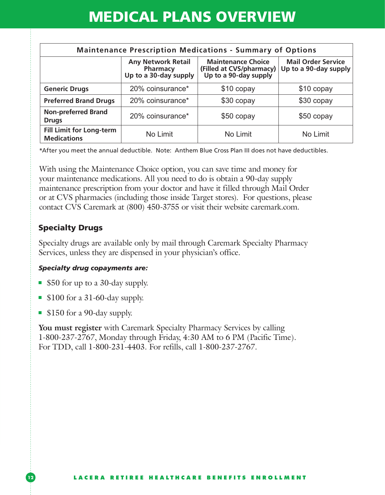| <b>Maintenance Prescription Medications - Summary of Options</b> |                                                                |                                                                                |                                                    |
|------------------------------------------------------------------|----------------------------------------------------------------|--------------------------------------------------------------------------------|----------------------------------------------------|
|                                                                  | <b>Any Network Retail</b><br>Pharmacy<br>Up to a 30-day supply | <b>Maintenance Choice</b><br>(Filled at CVS/pharmacy)<br>Up to a 90-day supply | <b>Mail Order Service</b><br>Up to a 90-day supply |
| <b>Generic Drugs</b>                                             | 20% coinsurance*                                               | \$10 copay                                                                     | \$10 copay                                         |
| <b>Preferred Brand Drugs</b>                                     | 20% coinsurance*                                               | \$30 copay                                                                     | \$30 copay                                         |
| <b>Non-preferred Brand</b><br><b>Drugs</b>                       | 20% coinsurance*                                               | \$50 copay                                                                     | \$50 copay                                         |
| <b>Fill Limit for Long-term</b><br><b>Medications</b>            | No Limit                                                       | No Limit                                                                       | No Limit                                           |

\*After you meet the annual deductible. Note: Anthem Blue Cross Plan III does not have deductibles.

With using the Maintenance Choice option, you can save time and money for your maintenance medications. All you need to do is obtain a 90-day supply maintenance prescription from your doctor and have it filled through Mail Order or at CVS pharmacies (including those inside Target stores). For questions, please contact CVS Caremark at (800) 450-3755 or visit their website caremark.com.

### Specialty Drugs

Specialty drugs are available only by mail through Caremark Specialty Pharmacy Services, unless they are dispensed in your physician's office.

#### *Specialty drug copayments are:*

- \$50 for up to a 30-day supply.
- \$100 for a 31-60-day supply.
- \$150 for a 90-day supply.

**You must register** with Caremark Specialty Pharmacy Services by calling 1-800-237-2767, Monday through Friday, 4:30 AM to 6 PM (Pacific Time). For TDD, call 1-800-231-4403. For refills, call 1-800-237-2767.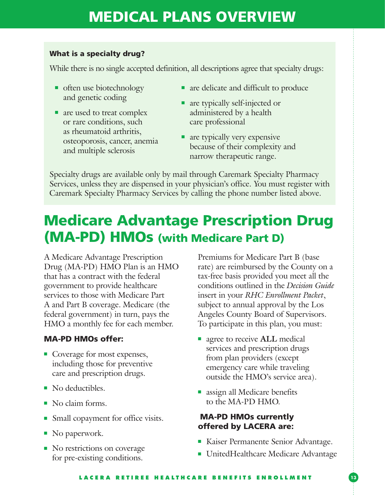#### What is a specialty drug?

While there is no single accepted definition, all descriptions agree that specialty drugs:

- often use biotechnology and genetic coding
- are used to treat complex or rare conditions, such as rheumatoid arthritis, osteoporosis, cancer, anemia and multiple sclerosis
- are delicate and difficult to produce
- are typically self-injected or administered by a health care professional
- are typically very expensive because of their complexity and narrow therapeutic range.

Specialty drugs are available only by mail through Caremark Specialty Pharmacy Services, unless they are dispensed in your physician's office. You must register with Caremark Specialty Pharmacy Services by calling the phone number listed above.

## Medicare Advantage Prescription Drug (MA-PD) HMOs (with Medicare Part D)

A Medicare Advantage Prescription Drug (MA-PD) HMO Plan is an HMO that has a contract with the federal government to provide healthcare services to those with Medicare Part A and Part B coverage. Medicare (the federal government) in turn, pays the HMO a monthly fee for each member.

### MA-PD HMOs offer:

- Coverage for most expenses, including those for preventive care and prescription drugs.
- No deductibles.
- No claim forms.
- Small copayment for office visits.
- No paperwork.
- No restrictions on coverage for pre-existing conditions.

Premiums for Medicare Part B (base rate) are reimbursed by the County on a tax-free basis provided you meet all the conditions outlined in the *Decision Guide* insert in your *RHC Enrollment Packet*, subject to annual approval by the Los Angeles County Board of Supervisors. To participate in this plan, you must:

- agree to receive **ALL** medical services and prescription drugs from plan providers (except emergency care while traveling outside the HMO's service area).
- assign all Medicare benefits to the MA-PD HMO.

### MA-PD HMOs currently offered by LACERA are:

- Kaiser Permanente Senior Advantage.
- UnitedHealthcare Medicare Advantage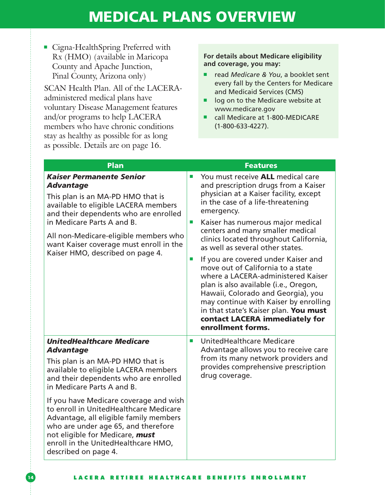■ Cigna-HealthSpring Preferred with Rx (HMO) (available in Maricopa County and Apache Junction, Pinal County, Arizona only)

SCAN Health Plan. All of the LACERAadministered medical plans have voluntary Disease Management features and/or programs to help LACERA members who have chronic conditions stay as healthy as possible for as long as possible. Details are on page 16.

#### **For details about Medicare eligibility and coverage, you may:**

- read *Medicare & You*, a booklet sent every fall by the Centers for Medicare and Medicaid Services (CMS)
- log on to the Medicare website at www.medicare.gov
- call Medicare at 1-800-MEDICARE (1-800-633-4227).

| Plan                                                                                                                                                                                                                                                                                                                                                                                                                                                                            | <b>Features</b>                                                                                                                                                                                                                                                                                                                                                                                                                                                                                                                                                                                                                                                                                                              |
|---------------------------------------------------------------------------------------------------------------------------------------------------------------------------------------------------------------------------------------------------------------------------------------------------------------------------------------------------------------------------------------------------------------------------------------------------------------------------------|------------------------------------------------------------------------------------------------------------------------------------------------------------------------------------------------------------------------------------------------------------------------------------------------------------------------------------------------------------------------------------------------------------------------------------------------------------------------------------------------------------------------------------------------------------------------------------------------------------------------------------------------------------------------------------------------------------------------------|
| <b>Kaiser Permanente Senior</b><br><b>Advantage</b><br>This plan is an MA-PD HMO that is<br>available to eligible LACERA members<br>and their dependents who are enrolled<br>in Medicare Parts A and B.<br>All non-Medicare-eligible members who<br>want Kaiser coverage must enroll in the<br>Kaiser HMO, described on page 4.                                                                                                                                                 | You must receive ALL medical care<br>п<br>and prescription drugs from a Kaiser<br>physician at a Kaiser facility, except<br>in the case of a life-threatening<br>emergency.<br>Kaiser has numerous major medical<br>$\mathcal{C}$<br>centers and many smaller medical<br>clinics located throughout California,<br>as well as several other states.<br>If you are covered under Kaiser and<br>$\mathcal{L}_{\mathcal{A}}$<br>move out of California to a state<br>where a LACERA-administered Kaiser<br>plan is also available (i.e., Oregon,<br>Hawaii, Colorado and Georgia), you<br>may continue with Kaiser by enrolling<br>in that state's Kaiser plan. You must<br>contact LACERA immediately for<br>enrollment forms. |
| <b>UnitedHealthcare Medicare</b><br><b>Advantage</b><br>This plan is an MA-PD HMO that is<br>available to eligible LACERA members<br>and their dependents who are enrolled<br>in Medicare Parts A and B.<br>If you have Medicare coverage and wish<br>to enroll in UnitedHealthcare Medicare<br>Advantage, all eligible family members<br>who are under age 65, and therefore<br>not eligible for Medicare, must<br>enroll in the UnitedHealthcare HMO,<br>described on page 4. | UnitedHealthcare Medicare<br>$\mathcal{L}_{\mathcal{A}}$<br>Advantage allows you to receive care<br>from its many network providers and<br>provides comprehensive prescription<br>drug coverage.                                                                                                                                                                                                                                                                                                                                                                                                                                                                                                                             |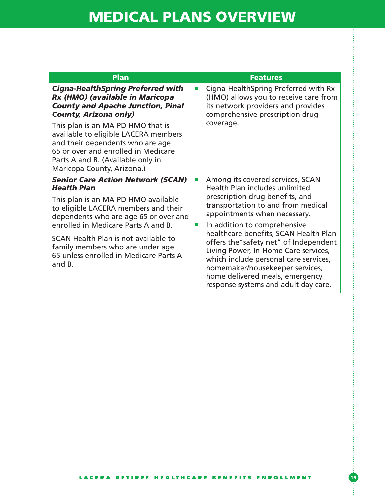| <b>Plan</b>                                                                                                                                                                                                                                                                                                                                                                        | <b>Features</b>                                                                                                                                                                                                                                                                                                                                                                                                                                                                                                                                                   |
|------------------------------------------------------------------------------------------------------------------------------------------------------------------------------------------------------------------------------------------------------------------------------------------------------------------------------------------------------------------------------------|-------------------------------------------------------------------------------------------------------------------------------------------------------------------------------------------------------------------------------------------------------------------------------------------------------------------------------------------------------------------------------------------------------------------------------------------------------------------------------------------------------------------------------------------------------------------|
| <b>Cigna-HealthSpring Preferred with</b><br>Rx (HMO) (available in Maricopa<br><b>County and Apache Junction, Pinal</b><br><b>County, Arizona only)</b><br>This plan is an MA-PD HMO that is<br>available to eligible LACERA members<br>and their dependents who are age<br>65 or over and enrolled in Medicare<br>Parts A and B. (Available only in<br>Maricopa County, Arizona.) | Cigna-HealthSpring Preferred with Rx<br>$\mathcal{L}_{\mathcal{A}}$<br>(HMO) allows you to receive care from<br>its network providers and provides<br>comprehensive prescription drug<br>coverage.                                                                                                                                                                                                                                                                                                                                                                |
| <b>Senior Care Action Network (SCAN)</b><br><b>Health Plan</b><br>This plan is an MA-PD HMO available<br>to eligible LACERA members and their<br>dependents who are age 65 or over and<br>enrolled in Medicare Parts A and B.<br>SCAN Health Plan is not available to<br>family members who are under age<br>65 unless enrolled in Medicare Parts A<br>and B.                      | Among its covered services, SCAN<br>$\mathcal{L}_{\mathcal{A}}$<br><b>Health Plan includes unlimited</b><br>prescription drug benefits, and<br>transportation to and from medical<br>appointments when necessary.<br>In addition to comprehensive<br>$\mathcal{L}_{\mathcal{A}}$<br>healthcare benefits, SCAN Health Plan<br>offers the"safety net" of Independent<br>Living Power, In-Home Care services,<br>which include personal care services,<br>homemaker/housekeeper services,<br>home delivered meals, emergency<br>response systems and adult day care. |